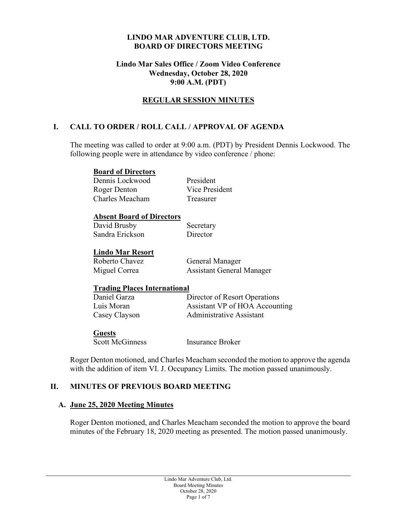#### **LINDO MAR ADVENTURE CLUB, LTD. BOARD OF DIRECTORS MEETING**

#### **Lindo Mar Sales Office / Zoom Video Conference Wednesday, October 28, 2020 9:00 A.M. (PDT)**

## **REGULAR SESSION MINUTES**

# **I. CALL TO ORDER / ROLL CALL / APPROVAL OF AGENDA**

The meeting was called to order at 9:00 a.m. (PDT) by President Dennis Lockwood. The following people were in attendance by video conference / phone:

#### **Board of Directors**

Dennis Lockwood President Roger Denton Vice President Charles Meacham Treasurer

#### **Absent Board of Directors**

| David Brusby    | Secretary |
|-----------------|-----------|
| Sandra Erickson | Director  |

# **Lindo Mar Resort**

Roberto Chavez General Manager

Miguel Correa **Assistant General Manager** 

#### **Trading Places International**

Daniel Garza Director of Resort Operations Luis Moran Assistant VP of HOA Accounting Casey Clayson Administrative Assistant

#### **Guests**

Scott McGinness Insurance Broker

Roger Denton motioned, and Charles Meacham seconded the motion to approve the agenda with the addition of item VI. J. Occupancy Limits. The motion passed unanimously.

#### **II. MINUTES OF PREVIOUS BOARD MEETING**

#### **A. June 25, 2020 Meeting Minutes**

Roger Denton motioned, and Charles Meacham seconded the motion to approve the board minutes of the February 18, 2020 meeting as presented. The motion passed unanimously.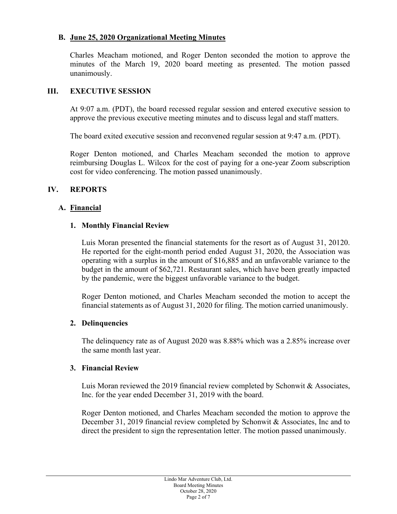## **B. June 25, 2020 Organizational Meeting Minutes**

Charles Meacham motioned, and Roger Denton seconded the motion to approve the minutes of the March 19, 2020 board meeting as presented. The motion passed unanimously.

#### **III. EXECUTIVE SESSION**

At 9:07 a.m. (PDT), the board recessed regular session and entered executive session to approve the previous executive meeting minutes and to discuss legal and staff matters.

The board exited executive session and reconvened regular session at 9:47 a.m. (PDT).

Roger Denton motioned, and Charles Meacham seconded the motion to approve reimbursing Douglas L. Wilcox for the cost of paying for a one-year Zoom subscription cost for video conferencing. The motion passed unanimously.

## **IV. REPORTS**

## **A. Financial**

## **1. Monthly Financial Review**

Luis Moran presented the financial statements for the resort as of August 31, 20120. He reported for the eight-month period ended August 31, 2020, the Association was operating with a surplus in the amount of \$16,885 and an unfavorable variance to the budget in the amount of \$62,721. Restaurant sales, which have been greatly impacted by the pandemic, were the biggest unfavorable variance to the budget.

Roger Denton motioned, and Charles Meacham seconded the motion to accept the financial statements as of August 31, 2020 for filing. The motion carried unanimously.

#### **2. Delinquencies**

The delinquency rate as of August 2020 was 8.88% which was a 2.85% increase over the same month last year.

#### **3. Financial Review**

Luis Moran reviewed the 2019 financial review completed by Schonwit & Associates, Inc. for the year ended December 31, 2019 with the board.

Roger Denton motioned, and Charles Meacham seconded the motion to approve the December 31, 2019 financial review completed by Schonwit & Associates, Inc and to direct the president to sign the representation letter. The motion passed unanimously.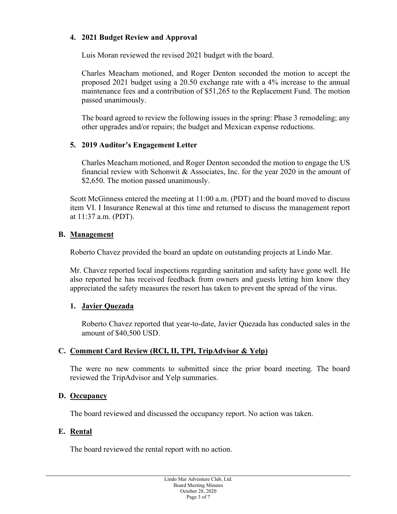# **4. 2021 Budget Review and Approval**

Luis Moran reviewed the revised 2021 budget with the board.

Charles Meacham motioned, and Roger Denton seconded the motion to accept the proposed 2021 budget using a 20.50 exchange rate with a 4% increase to the annual maintenance fees and a contribution of \$51,265 to the Replacement Fund. The motion passed unanimously.

The board agreed to review the following issues in the spring: Phase 3 remodeling; any other upgrades and/or repairs; the budget and Mexican expense reductions.

## **5. 2019 Auditor's Engagement Letter**

Charles Meacham motioned, and Roger Denton seconded the motion to engage the US financial review with Schonwit & Associates, Inc. for the year 2020 in the amount of \$2,650. The motion passed unanimously.

Scott McGinness entered the meeting at 11:00 a.m. (PDT) and the board moved to discuss item VI. I Insurance Renewal at this time and returned to discuss the management report at 11:37 a.m. (PDT).

## **B. Management**

Roberto Chavez provided the board an update on outstanding projects at Lindo Mar.

Mr. Chavez reported local inspections regarding sanitation and safety have gone well. He also reported he has received feedback from owners and guests letting him know they appreciated the safety measures the resort has taken to prevent the spread of the virus.

#### **1. Javier Quezada**

Roberto Chavez reported that year-to-date, Javier Quezada has conducted sales in the amount of \$40,500 USD.

# **C. Comment Card Review (RCI, II, TPI, TripAdvisor & Yelp)**

The were no new comments to submitted since the prior board meeting. The board reviewed the TripAdvisor and Yelp summaries.

#### **D. Occupancy**

The board reviewed and discussed the occupancy report. No action was taken.

#### **E. Rental**

The board reviewed the rental report with no action.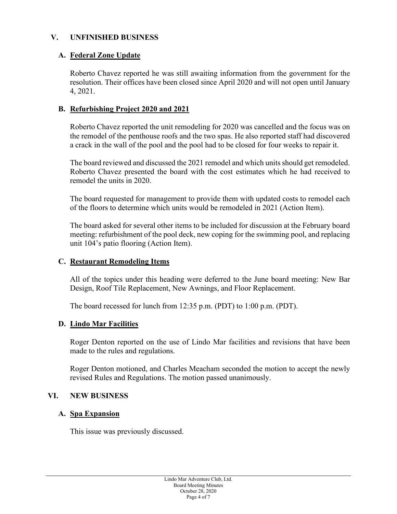#### **V. UNFINISHED BUSINESS**

#### **A. Federal Zone Update**

Roberto Chavez reported he was still awaiting information from the government for the resolution. Their offices have been closed since April 2020 and will not open until January 4, 2021.

#### **B. Refurbishing Project 2020 and 2021**

Roberto Chavez reported the unit remodeling for 2020 was cancelled and the focus was on the remodel of the penthouse roofs and the two spas. He also reported staff had discovered a crack in the wall of the pool and the pool had to be closed for four weeks to repair it.

The board reviewed and discussed the 2021 remodel and which units should get remodeled. Roberto Chavez presented the board with the cost estimates which he had received to remodel the units in 2020.

The board requested for management to provide them with updated costs to remodel each of the floors to determine which units would be remodeled in 2021 (Action Item).

The board asked for several other items to be included for discussion at the February board meeting: refurbishment of the pool deck, new coping for the swimming pool, and replacing unit 104's patio flooring (Action Item).

#### **C. Restaurant Remodeling Items**

All of the topics under this heading were deferred to the June board meeting: New Bar Design, Roof Tile Replacement, New Awnings, and Floor Replacement.

The board recessed for lunch from 12:35 p.m. (PDT) to 1:00 p.m. (PDT).

#### **D. Lindo Mar Facilities**

Roger Denton reported on the use of Lindo Mar facilities and revisions that have been made to the rules and regulations.

Roger Denton motioned, and Charles Meacham seconded the motion to accept the newly revised Rules and Regulations. The motion passed unanimously.

#### **VI. NEW BUSINESS**

#### **A. Spa Expansion**

This issue was previously discussed.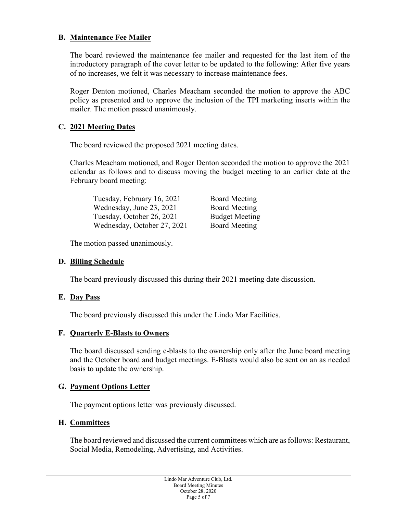# **B. Maintenance Fee Mailer**

The board reviewed the maintenance fee mailer and requested for the last item of the introductory paragraph of the cover letter to be updated to the following: After five years of no increases, we felt it was necessary to increase maintenance fees.

Roger Denton motioned, Charles Meacham seconded the motion to approve the ABC policy as presented and to approve the inclusion of the TPI marketing inserts within the mailer. The motion passed unanimously.

## **C. 2021 Meeting Dates**

The board reviewed the proposed 2021 meeting dates.

Charles Meacham motioned, and Roger Denton seconded the motion to approve the 2021 calendar as follows and to discuss moving the budget meeting to an earlier date at the February board meeting:

| Tuesday, February 16, 2021  | <b>Board Meeting</b>  |
|-----------------------------|-----------------------|
| Wednesday, June 23, 2021    | <b>Board Meeting</b>  |
| Tuesday, October 26, 2021   | <b>Budget Meeting</b> |
| Wednesday, October 27, 2021 | <b>Board Meeting</b>  |

The motion passed unanimously.

#### **D. Billing Schedule**

The board previously discussed this during their 2021 meeting date discussion.

#### **E. Day Pass**

The board previously discussed this under the Lindo Mar Facilities.

#### **F. Quarterly E-Blasts to Owners**

The board discussed sending e-blasts to the ownership only after the June board meeting and the October board and budget meetings. E-Blasts would also be sent on an as needed basis to update the ownership.

#### **G. Payment Options Letter**

The payment options letter was previously discussed.

# **H. Committees**

The board reviewed and discussed the current committees which are as follows: Restaurant, Social Media, Remodeling, Advertising, and Activities.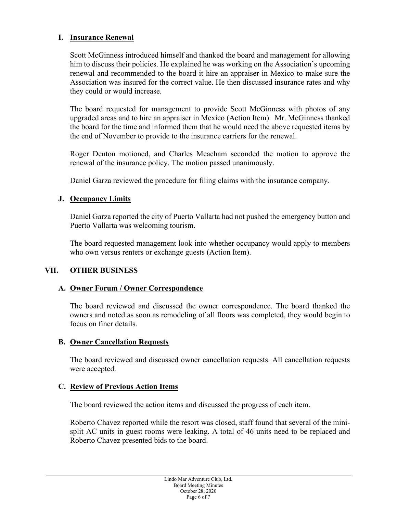## **I. Insurance Renewal**

Scott McGinness introduced himself and thanked the board and management for allowing him to discuss their policies. He explained he was working on the Association's upcoming renewal and recommended to the board it hire an appraiser in Mexico to make sure the Association was insured for the correct value. He then discussed insurance rates and why they could or would increase.

The board requested for management to provide Scott McGinness with photos of any upgraded areas and to hire an appraiser in Mexico (Action Item). Mr. McGinness thanked the board for the time and informed them that he would need the above requested items by the end of November to provide to the insurance carriers for the renewal.

Roger Denton motioned, and Charles Meacham seconded the motion to approve the renewal of the insurance policy. The motion passed unanimously.

Daniel Garza reviewed the procedure for filing claims with the insurance company.

#### **J. Occupancy Limits**

Daniel Garza reported the city of Puerto Vallarta had not pushed the emergency button and Puerto Vallarta was welcoming tourism.

The board requested management look into whether occupancy would apply to members who own versus renters or exchange guests (Action Item).

#### **VII. OTHER BUSINESS**

#### **A. Owner Forum / Owner Correspondence**

The board reviewed and discussed the owner correspondence. The board thanked the owners and noted as soon as remodeling of all floors was completed, they would begin to focus on finer details.

#### **B. Owner Cancellation Requests**

The board reviewed and discussed owner cancellation requests. All cancellation requests were accepted.

#### **C. Review of Previous Action Items**

The board reviewed the action items and discussed the progress of each item.

Roberto Chavez reported while the resort was closed, staff found that several of the minisplit AC units in guest rooms were leaking. A total of 46 units need to be replaced and Roberto Chavez presented bids to the board.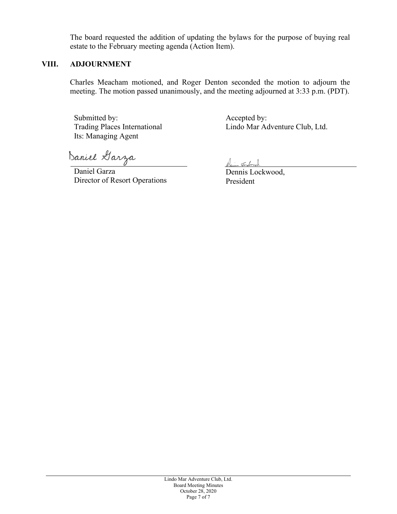The board requested the addition of updating the bylaws for the purpose of buying real estate to the February meeting agenda (Action Item).

#### **VIII. ADJOURNMENT**

Charles Meacham motioned, and Roger Denton seconded the motion to adjourn the meeting. The motion passed unanimously, and the meeting adjourned at 3:33 p.m. (PDT).

Submitted by: Trading Places International Its: Managing Agent

Accepted by: Lindo Mar Adventure Club, Ltd.

Daniel Garza

Daniel Garza Director of Resort Operations Dem Foodwood

Dennis Lockwood, President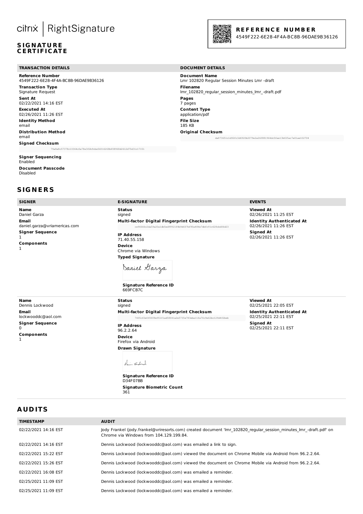# cilrix | RightSignature

#### **S IG N AT U R E C E RT IF I C AT E**

#### **TRANSACTION DETAILS DOCUMENT DETAILS**

**Reference Number** 4549F222-6E28-4F4A-BC8B-96DAE9B36126 **Transaction Type** Signature Request **Sent At** 02/22/2021 14:16 EST **Executed At** 02/26/2021 11:26 EST **Identity Method** email **Distribution Method** email **Signed Checksum** 79a8a8c57378c10364c0a78e3f2b9cbe56016268bf08968d2612d75d31c17151

#### **Signer Sequencing** Enabled

**Document Passcode** Disabled

#### **S IG N E R S**

#### **SIGNER E-SIGNATURE EVENTS**

**Name** Daniel Garza **Email** daniel.garza@vriamericas.com **Signer Sequence** 1 **Components** 1

**Multi-factor Digital Fingerprint Checksum** ce96666c2da59a20a1db5ed99921f4b9d607bf90a484e7dbfc91c628cbd06d23 **IP Address** 71.40.55.158 **Device** Chrome via Windows

**Status** signed

**Status**

**Typed Signature**



**Signature Reference ID** 669FCB7C

**Viewed At** 02/26/2021 11:25 EST **Identity Authenticated At** 02/26/2021 11:26 EST **Signed At** 02/26/2021 11:26 EST

**Name** Dennis Lockwood **Email** lockwooddc@aol.com **Signer Sequence** 0 **Components** 1

signed **Multi-factor Digital Fingerprint Checksum** 7405cf2e0f0ff8e951f1ad58041a2e5735e783eba11fa70c9e62bc129d4f2beb **IP Address** 96.2.2.64 **Device** Firefox via Android **Drawn Signature**



**Signature Reference ID** D34F07BB **Signature Biometric Count** 361

**Viewed At** 02/25/2021 22:05 EST **Identity Authenticated At** 02/25/2021 22:11 EST **Signed At** 02/25/2021 22:11 EST

#### **A UD ITS**

| <b>TIMESTAMP</b>     | <b>AUDIT</b>                                                                                                                                                  |
|----------------------|---------------------------------------------------------------------------------------------------------------------------------------------------------------|
| 02/22/2021 14:16 EST | Jody Frankel (jody.frankel@vriresorts.com) created document 'Imr 102820 regular session minutes Imr -draft.pdf' on<br>Chrome via Windows from 104.129.199.84. |
| 02/22/2021 14:16 EST | Dennis Lockwood (lockwooddc@aol.com) was emailed a link to sign.                                                                                              |
| 02/22/2021 15:22 EST | Dennis Lockwood (lockwooddc@aol.com) viewed the document on Chrome Mobile via Android from 96.2.2.64.                                                         |
| 02/22/2021 15:26 EST | Dennis Lockwood (lockwooddc@aol.com) viewed the document on Chrome Mobile via Android from 96.2.2.64.                                                         |
| 02/22/2021 16:08 EST | Dennis Lockwood (lockwooddc@aol.com) was emailed a reminder.                                                                                                  |
| 02/25/2021 11:09 EST | Dennis Lockwood (lockwooddc@aol.com) was emailed a reminder.                                                                                                  |
| 02/25/2021 11:09 EST | Dennis Lockwood (lockwooddc@aol.com) was emailed a reminder.                                                                                                  |



#### **R E F E R E N C E N U M B E R**

4549F222-6E28-4F4A-BC8B -96DAE9B36126

**Document Name** Lmr 102820 Regular Session Minutes Lmr -draft **Filename** lmr\_102820\_regular\_session\_minutes\_lmr\_-draft.pdf **Pages** 7 pages **Content Type** application/pdf **File Size** 185 KB **Original Checksum** da873651c1d92fc3d6920b2079e2a26f881964dc5fae13bf25ac7e01ae102704